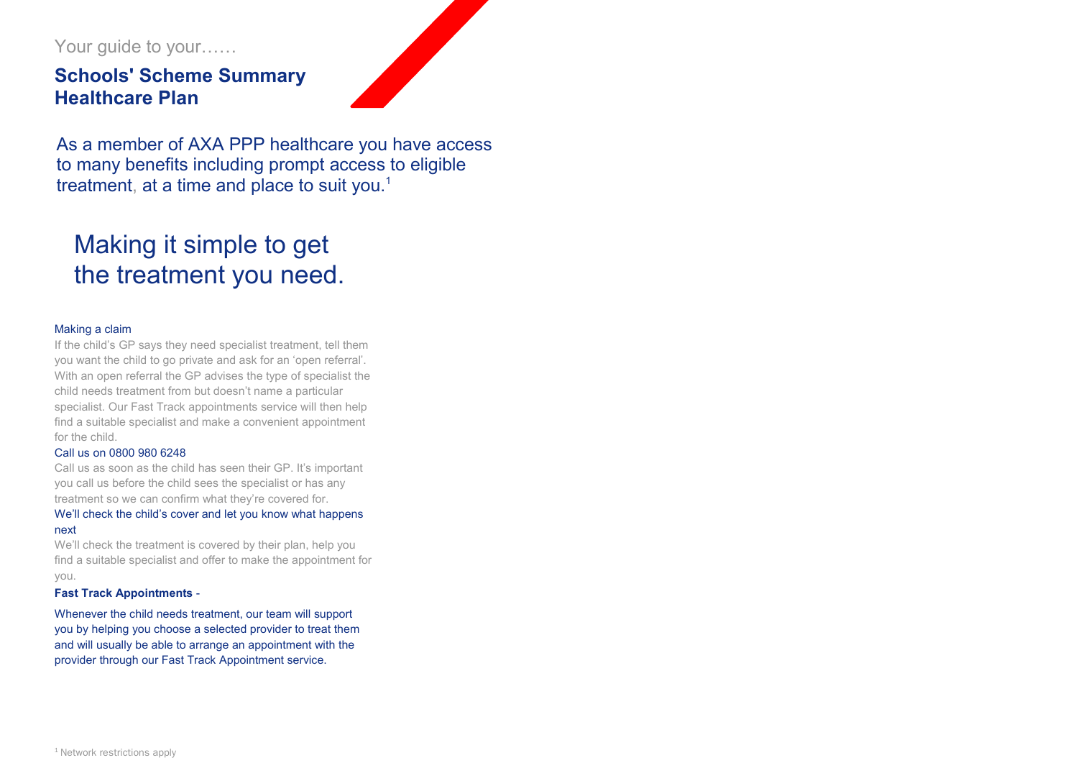Your guide to your……

# **Schools' Scheme Summary Healthcare Plan**



J to many benefits including prompt access to eligible treatment, at a time and place to suit you.<sup>1</sup> As a member of AXA PPP healthcare you have access

# Making it simple to get the treatment you need.

## Making a claim

If the child's GP says they need specialist treatment, tell them you want the child to go private and ask for an 'open referral'. With an open referral the GP advises the type of specialist the child needs treatment from but doesn't name a particular specialist. Our Fast Track appointments service will then help find a suitable specialist and make a convenient appointment for the child.

#### Call us on 0800 980 6248

Call us as soon as the child has seen their GP. It's important you call us before the child sees the specialist or has any treatment so we can confirm what they're covered for.

## We'll check the child's cover and let you know what happens next

We'll check the treatment is covered by their plan, help you find a suitable specialist and offer to make the appointment for you.

#### **Fast Track Appointments** -

Whenever the child needs treatment, our team will support you by helping you choose a selected provider to treat them and will usually be able to arrange an appointment with the provider through our Fast Track Appointment service.